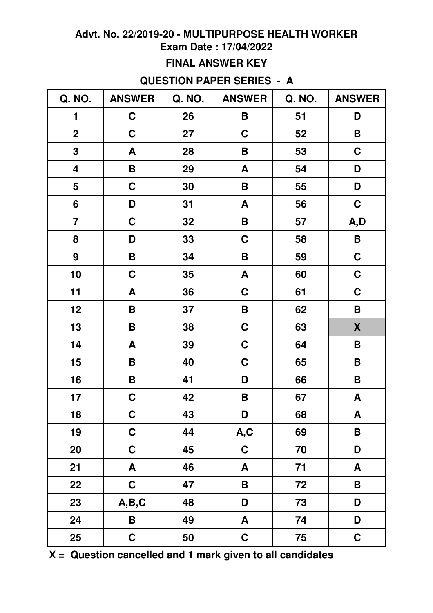# **Exam Date : 17/04/2022**

### **FINAL ANSWER KEY**

### **QUESTION PAPER SERIES - A**

| Q. NO.                  | <b>ANSWER</b> | Q. NO. | <b>ANSWER</b>           | Q. NO. | <b>ANSWER</b>      |
|-------------------------|---------------|--------|-------------------------|--------|--------------------|
| 1                       | $\mathbf C$   | 26     | B                       | 51     | D                  |
| $\mathbf 2$             | $\mathbf C$   | 27     | $\mathbf C$             | 52     | B                  |
| 3                       | A             | 28     | B                       | 53     | $\mathbf C$        |
| $\overline{\mathbf{4}}$ | Β             | 29     | A                       | 54     | D                  |
| 5                       | $\mathbf C$   | 30     | B                       | 55     | D                  |
| $6\phantom{1}$          | D             | 31     | A                       | 56     | $\mathbf C$        |
| $\overline{\mathbf{7}}$ | $\mathbf C$   | 32     | B                       | 57     | A,D                |
| 8                       | D             | 33     | $\mathbf C$             | 58     | B                  |
| 9                       | B             | 34     | B                       | 59     | $\mathbf C$        |
| 10                      | $\mathbf C$   | 35     | A                       | 60     | $\mathbf C$        |
| 11                      | A             | 36     | $\mathbf C$             | 61     | $\mathbf C$        |
| 12                      | Β             | 37     | B                       | 62     | B                  |
| 13                      | B             | 38     | $\mathbf C$             | 63     | X                  |
| 14                      | A             | 39     | $\mathbf C$             | 64     | B                  |
| 15                      | B             | 40     | $\mathbf C$             | 65     | B                  |
| 16                      | B             | 41     | D                       | 66     | B                  |
| 17                      | $\mathbf C$   | 42     | B                       | 67     | A                  |
| 18                      | $\mathbf C$   | 43     | D                       | 68     | A                  |
| 19                      | $\mathbf C$   | 44     | A, C                    | 69     | $\pmb{\mathsf{B}}$ |
| 20                      | $\mathbf C$   | 45     | $\mathbf C$             | 70     | D                  |
| 21                      | A             | 46     | A                       | 71     | A                  |
| 22                      | $\mathbf C$   | 47     | $\overline{\mathsf{B}}$ | 72     | $\pmb{\mathsf{B}}$ |
| 23                      | A,B,C         | 48     | D                       | 73     | D                  |
| 24                      | B             | 49     | A                       | 74     | D                  |
| 25                      | $\mathbf C$   | 50     | $\mathbf C$             | 75     | $\mathbf C$        |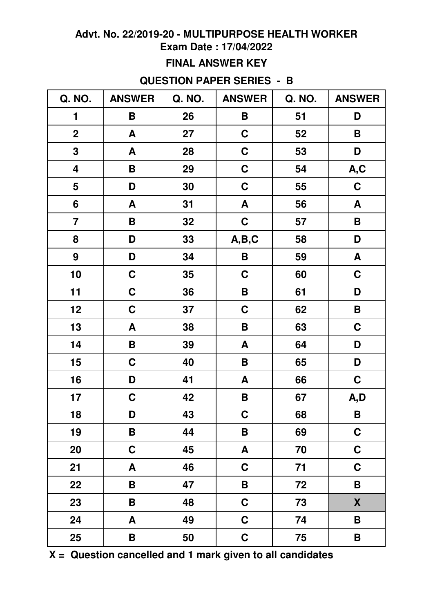# **Exam Date : 17/04/2022**

### **FINAL ANSWER KEY**

### **QUESTION PAPER SERIES - B**

| Q. NO.                  | <b>ANSWER</b> | Q. NO. | <b>ANSWER</b>    | Q. NO. | <b>ANSWER</b>      |
|-------------------------|---------------|--------|------------------|--------|--------------------|
| 1                       | B             | 26     | B                | 51     | D                  |
| $\mathbf 2$             | A             | 27     | $\mathbf C$      | 52     | B                  |
| 3                       | A             | 28     | $\mathbf C$      | 53     | D                  |
| 4                       | B             | 29     | $\mathbf C$      | 54     | A,C                |
| 5                       | D             | 30     | $\mathbf C$      | 55     | $\mathbf C$        |
| $6\phantom{1}$          | A             | 31     | A                | 56     | A                  |
| $\overline{\mathbf{7}}$ | B             | 32     | $\mathbf C$      | 57     | B                  |
| 8                       | D             | 33     | A,B,C            | 58     | D                  |
| 9                       | D             | 34     | B                | 59     | A                  |
| 10                      | $\mathbf C$   | 35     | $\mathbf C$      | 60     | $\mathbf C$        |
| 11                      | $\mathbf C$   | 36     | B                | 61     | D                  |
| 12                      | $\mathbf C$   | 37     | $\mathbf C$      | 62     | B                  |
| 13                      | A             | 38     | B                | 63     | C                  |
| 14                      | B             | 39     | A                | 64     | D                  |
| 15                      | $\mathbf C$   | 40     | B                | 65     | D                  |
| 16                      | D             | 41     | A                | 66     | $\mathbf C$        |
| 17                      | $\mathbf C$   | 42     | B                | 67     | A,D                |
| 18                      | D             | 43     | $\mathbf C$      | 68     | $\pmb{\mathsf{B}}$ |
| 19                      | B             | 44     | B                | 69     | $\mathbf C$        |
| 20                      | $\mathbf C$   | 45     | $\boldsymbol{A}$ | 70     | $\mathbf C$        |
| 21                      | A             | 46     | $\mathbf C$      | 71     | $\mathbf C$        |
| 22                      | B             | 47     | B                | 72     | $\pmb{\mathsf{B}}$ |
| 23                      | B             | 48     | $\mathbf C$      | 73     | X                  |
| 24                      | A             | 49     | $\mathbf C$      | 74     | B                  |
| 25                      | B             | 50     | $\mathbf C$      | 75     | B                  |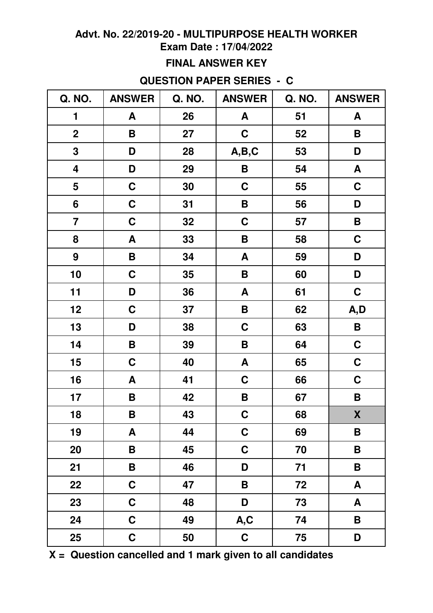# **Exam Date : 17/04/2022**

## **FINAL ANSWER KEY**

# **QUESTION PAPER SERIES - C**

| Q. NO.                  | <b>ANSWER</b> | Q. NO. | <b>ANSWER</b> | Q. NO. | <b>ANSWER</b>      |
|-------------------------|---------------|--------|---------------|--------|--------------------|
| 1                       | A             | 26     | A             | 51     | A                  |
| $\overline{2}$          | B             | 27     | $\mathbf C$   | 52     | B                  |
| $\mathbf 3$             | D             | 28     | A,B,C         | 53     | D                  |
| $\overline{\mathbf{4}}$ | D             | 29     | B             | 54     | A                  |
| 5                       | $\mathbf C$   | 30     | $\mathbf C$   | 55     | $\mathbf C$        |
| 6                       | $\mathbf C$   | 31     | B             | 56     | D                  |
| $\overline{\mathbf{7}}$ | $\mathbf C$   | 32     | $\mathbf C$   | 57     | B                  |
| 8                       | A             | 33     | B             | 58     | $\mathbf C$        |
| 9                       | B             | 34     | A             | 59     | D                  |
| 10                      | $\mathbf C$   | 35     | B             | 60     | D                  |
| 11                      | D             | 36     | A             | 61     | $\mathbf C$        |
| 12                      | $\mathbf C$   | 37     | B             | 62     | A,D                |
| 13                      | D             | 38     | $\mathbf C$   | 63     | B                  |
| 14                      | B             | 39     | B             | 64     | $\mathbf C$        |
| 15                      | $\mathbf C$   | 40     | A             | 65     | $\mathbf C$        |
| 16                      | A             | 41     | $\mathbf C$   | 66     | $\mathbf C$        |
| 17                      | B             | 42     | B             | 67     | B                  |
| 18                      | B             | 43     | $\mathbf C$   | 68     | $\pmb{\mathsf{X}}$ |
| 19                      | A             | 44     | $\mathbf C$   | 69     | $\pmb{\mathsf{B}}$ |
| 20                      | B             | 45     | $\mathbf C$   | 70     | B                  |
| 21                      | B             | 46     | D             | 71     | B                  |
| 22                      | $\mathbf C$   | 47     | $\mathsf B$   | 72     | A                  |
| 23                      | $\mathbf C$   | 48     | D             | 73     | A                  |
| 24                      | $\mathbf C$   | 49     | A,C           | 74     | B                  |
| 25                      | $\mathbf C$   | 50     | $\mathbf C$   | 75     | D                  |